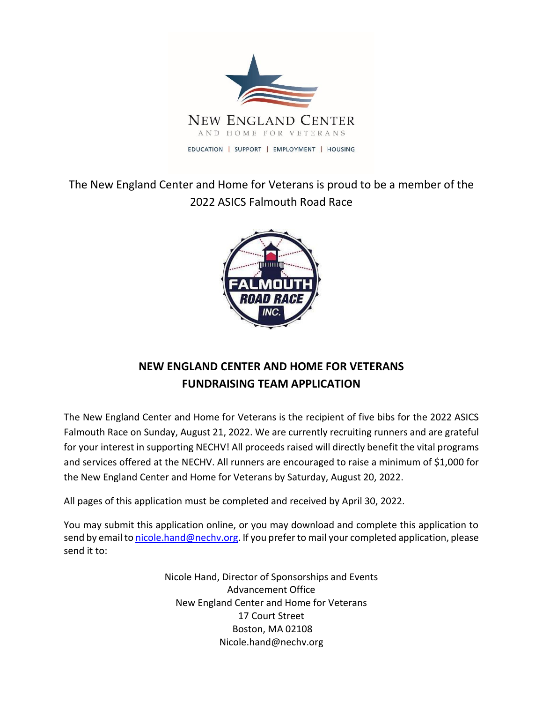

The New England Center and Home for Veterans is proud to be a member of the 2022 ASICS Falmouth Road Race



# **NEW ENGLAND CENTER AND HOME FOR VETERANS FUNDRAISING TEAM APPLICATION**

The New England Center and Home for Veterans is the recipient of five bibs for the 2022 ASICS Falmouth Race on Sunday, August 21, 2022. We are currently recruiting runners and are grateful for your interest in supporting NECHV! All proceeds raised will directly benefit the vital programs and services offered at the NECHV. All runners are encouraged to raise a minimum of \$1,000 for the New England Center and Home for Veterans by Saturday, August 20, 2022.

All pages of this application must be completed and received by April 30, 2022.

You may submit this application online, or you may download and complete this application to send by email t[o nicole.hand@nechv.org.](mailto:nicole.hand@nechv.org) If you prefer to mail your completed application, please send it to:

> Nicole Hand, Director of Sponsorships and Events Advancement Office New England Center and Home for Veterans 17 Court Street Boston, MA 02108 Nicole.hand@nechv.org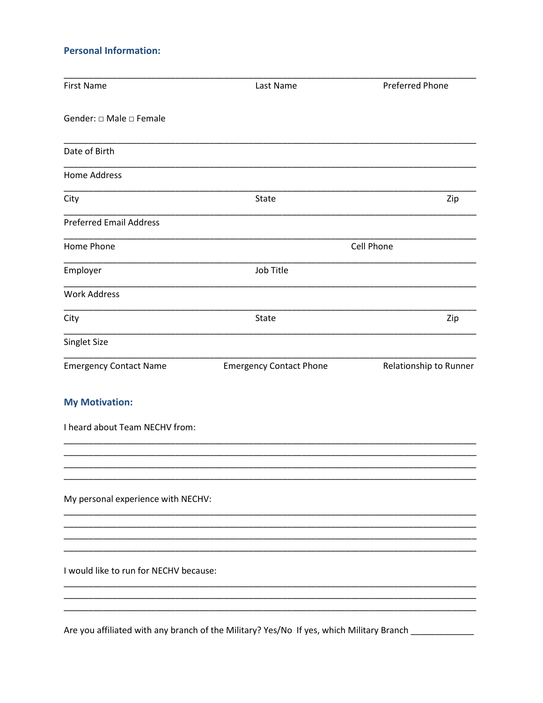### **Personal Information:**

| <b>First Name</b>                       | Last Name                                                                                            | <b>Preferred Phone</b> |
|-----------------------------------------|------------------------------------------------------------------------------------------------------|------------------------|
| Gender: $\square$ Male $\square$ Female |                                                                                                      |                        |
| Date of Birth                           |                                                                                                      |                        |
| Home Address                            |                                                                                                      |                        |
| City                                    | State                                                                                                | Zip                    |
| <b>Preferred Email Address</b>          |                                                                                                      |                        |
| Home Phone                              |                                                                                                      | Cell Phone             |
| Employer                                | Job Title                                                                                            |                        |
| <b>Work Address</b>                     |                                                                                                      |                        |
| City                                    | State                                                                                                | Zip                    |
| Singlet Size                            |                                                                                                      |                        |
| <b>Emergency Contact Name</b>           | <b>Emergency Contact Phone</b>                                                                       | Relationship to Runner |
| <b>My Motivation:</b>                   |                                                                                                      |                        |
| I heard about Team NECHV from:          |                                                                                                      |                        |
|                                         |                                                                                                      |                        |
| My personal experience with NECHV:      |                                                                                                      |                        |
|                                         |                                                                                                      |                        |
| I would like to run for NECHV because:  |                                                                                                      |                        |
|                                         |                                                                                                      |                        |
| - 55:1                                  | وامتعرضته المسمعا الملاح والمنطبين ومبركات والأروم والكروبومية النابه والمتواطئ والمسموط يتورم والمن |                        |

Are you affiliated with any branch of the Military? Yes/No If yes, which Military Branch \_\_\_\_\_\_\_\_\_\_\_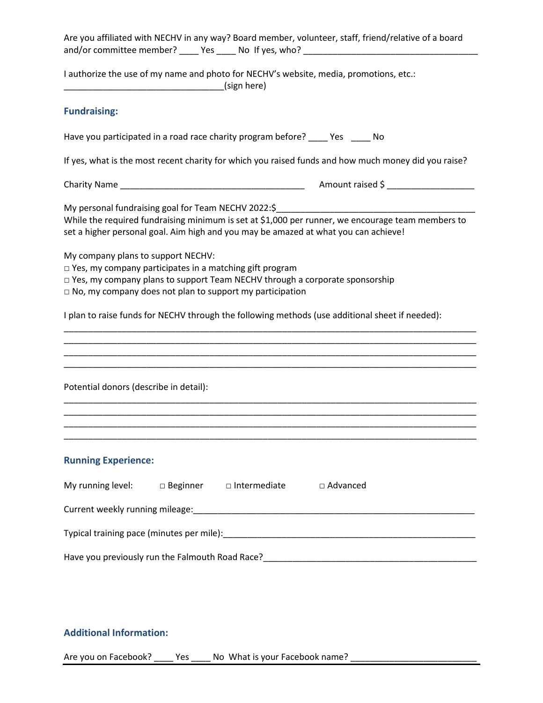| Are you affiliated with NECHV in any way? Board member, volunteer, staff, friend/relative of a board<br>and/or committee member? _____ Yes _____ No If yes, who? ________________________                                                                                                                                                                                                                                                                                                                                                                                                                           |  |  |  |  |  |
|---------------------------------------------------------------------------------------------------------------------------------------------------------------------------------------------------------------------------------------------------------------------------------------------------------------------------------------------------------------------------------------------------------------------------------------------------------------------------------------------------------------------------------------------------------------------------------------------------------------------|--|--|--|--|--|
| I authorize the use of my name and photo for NECHV's website, media, promotions, etc.:<br>(sign here) (sign here)                                                                                                                                                                                                                                                                                                                                                                                                                                                                                                   |  |  |  |  |  |
| <b>Fundraising:</b>                                                                                                                                                                                                                                                                                                                                                                                                                                                                                                                                                                                                 |  |  |  |  |  |
| Have you participated in a road race charity program before? _____ Yes _____ No                                                                                                                                                                                                                                                                                                                                                                                                                                                                                                                                     |  |  |  |  |  |
| If yes, what is the most recent charity for which you raised funds and how much money did you raise?                                                                                                                                                                                                                                                                                                                                                                                                                                                                                                                |  |  |  |  |  |
|                                                                                                                                                                                                                                                                                                                                                                                                                                                                                                                                                                                                                     |  |  |  |  |  |
| My personal fundraising goal for Team NECHV 2022:\$<br>While the required fundraising minimum is set at \$1,000 per runner, we encourage team members to<br>set a higher personal goal. Aim high and you may be amazed at what you can achieve!<br>My company plans to support NECHV:<br>$\Box$ Yes, my company participates in a matching gift program<br>$\Box$ Yes, my company plans to support Team NECHV through a corporate sponsorship<br>$\Box$ No, my company does not plan to support my participation<br>I plan to raise funds for NECHV through the following methods (use additional sheet if needed): |  |  |  |  |  |
| Potential donors (describe in detail):                                                                                                                                                                                                                                                                                                                                                                                                                                                                                                                                                                              |  |  |  |  |  |
|                                                                                                                                                                                                                                                                                                                                                                                                                                                                                                                                                                                                                     |  |  |  |  |  |
| <b>Running Experience:</b>                                                                                                                                                                                                                                                                                                                                                                                                                                                                                                                                                                                          |  |  |  |  |  |
| My running level: $\Box$ Beginner $\Box$ Intermediate<br>□ Advanced                                                                                                                                                                                                                                                                                                                                                                                                                                                                                                                                                 |  |  |  |  |  |
|                                                                                                                                                                                                                                                                                                                                                                                                                                                                                                                                                                                                                     |  |  |  |  |  |
|                                                                                                                                                                                                                                                                                                                                                                                                                                                                                                                                                                                                                     |  |  |  |  |  |
|                                                                                                                                                                                                                                                                                                                                                                                                                                                                                                                                                                                                                     |  |  |  |  |  |

## **Additional Information:**

Are you on Facebook? \_\_\_\_\_ Yes \_\_\_\_\_ No What is your Facebook name?